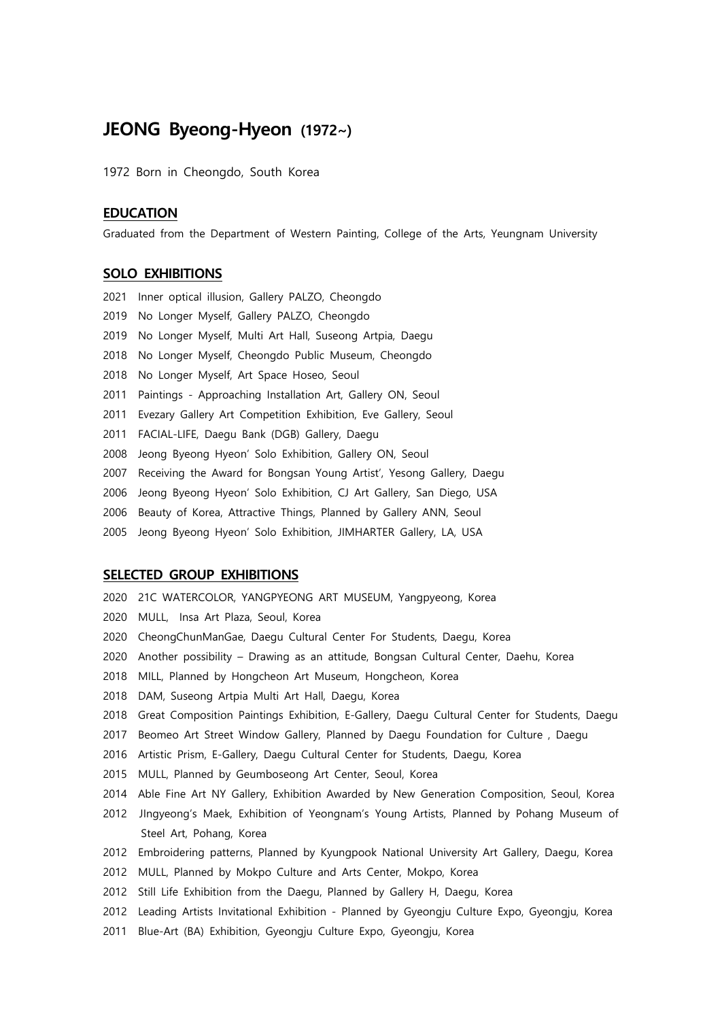# **JEONG Byeong-Hyeon (1972~)**

1972 Born in Cheongdo, South Korea

### **EDUCATION**

Graduated from the Department of Western Painting, College of the Arts, Yeungnam University

### **SOLO EXHIBITIONS**

- 2021 Inner optical illusion, Gallery PALZO, Cheongdo
- 2019 No Longer Myself, Gallery PALZO, Cheongdo
- 2019 No Longer Myself, Multi Art Hall, Suseong Artpia, Daegu
- 2018 No Longer Myself, Cheongdo Public Museum, Cheongdo
- 2018 No Longer Myself, Art Space Hoseo, Seoul
- 2011 Paintings Approaching Installation Art, Gallery ON, Seoul
- 2011 Evezary Gallery Art Competition Exhibition, Eve Gallery, Seoul
- 2011 FACIAL-LIFE, Daegu Bank (DGB) Gallery, Daegu
- 2008 Jeong Byeong Hyeon' Solo Exhibition, Gallery ON, Seoul
- 2007 Receiving the Award for Bongsan Young Artist', Yesong Gallery, Daegu
- 2006 Jeong Byeong Hyeon' Solo Exhibition, CJ Art Gallery, San Diego, USA
- 2006 Beauty of Korea, Attractive Things, Planned by Gallery ANN, Seoul
- 2005 Jeong Byeong Hyeon' Solo Exhibition, JIMHARTER Gallery, LA, USA

### **SELECTED GROUP EXHIBITIONS**

- 2020 21C WATERCOLOR, YANGPYEONG ART MUSEUM, Yangpyeong, Korea
- 2020 MULL, Insa Art Plaza, Seoul, Korea
- 2020 CheongChunManGae, Daegu Cultural Center For Students, Daegu, Korea
- 2020 Another possibility Drawing as an attitude, Bongsan Cultural Center, Daehu, Korea
- 2018 MILL, Planned by Hongcheon Art Museum, Hongcheon, Korea
- 2018 DAM, Suseong Artpia Multi Art Hall, Daegu, Korea
- 2018 Great Composition Paintings Exhibition, E-Gallery, Daegu Cultural Center for Students, Daegu
- 2017 Beomeo Art Street Window Gallery, Planned by Daegu Foundation for Culture , Daegu
- 2016 Artistic Prism, E-Gallery, Daegu Cultural Center for Students, Daegu, Korea
- 2015 MULL, Planned by Geumboseong Art Center, Seoul, Korea
- 2014 Able Fine Art NY Gallery, Exhibition Awarded by New Generation Composition, Seoul, Korea
- 2012 JIngyeong's Maek, Exhibition of Yeongnam's Young Artists, Planned by Pohang Museum of Steel Art, Pohang, Korea
- 2012 Embroidering patterns, Planned by Kyungpook National University Art Gallery, Daegu, Korea
- 2012 MULL, Planned by Mokpo Culture and Arts Center, Mokpo, Korea
- 2012 Still Life Exhibition from the Daegu, Planned by Gallery H, Daegu, Korea
- 2012 Leading Artists Invitational Exhibition Planned by Gyeongju Culture Expo, Gyeongju, Korea
- 2011 Blue-Art (BA) Exhibition, Gyeongju Culture Expo, Gyeongju, Korea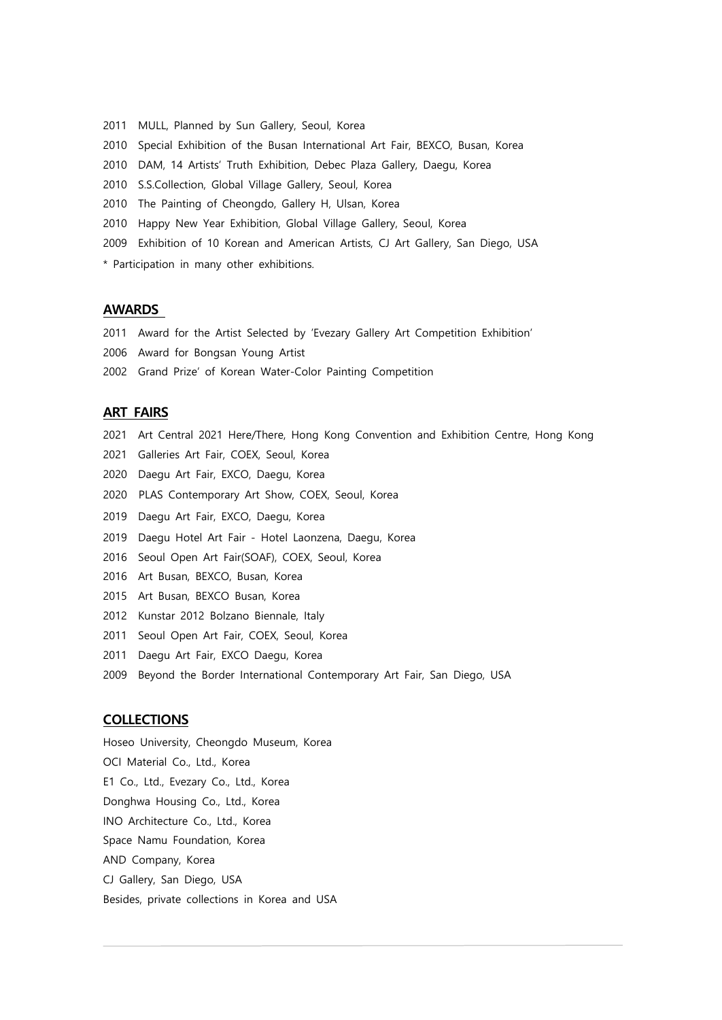- 2011 MULL, Planned by Sun Gallery, Seoul, Korea
- 2010 Special Exhibition of the Busan International Art Fair, BEXCO, Busan, Korea
- 2010 DAM, 14 Artists' Truth Exhibition, Debec Plaza Gallery, Daegu, Korea
- 2010 S.S.Collection, Global Village Gallery, Seoul, Korea
- 2010 The Painting of Cheongdo, Gallery H, Ulsan, Korea
- 2010 Happy New Year Exhibition, Global Village Gallery, Seoul, Korea
- 2009 Exhibition of 10 Korean and American Artists, CJ Art Gallery, San Diego, USA
- \* Participation in many other exhibitions.

### **AWARDS**

- 2011 Award for the Artist Selected by 'Evezary Gallery Art Competition Exhibition'
- 2006 Award for Bongsan Young Artist
- 2002 Grand Prize' of Korean Water-Color Painting Competition

### **ART FAIRS**

- 2021 Art Central 2021 Here/There, Hong Kong Convention and Exhibition Centre, Hong Kong
- 2021 Galleries Art Fair, COEX, Seoul, Korea
- 2020 Daegu Art Fair, EXCO, Daegu, Korea
- 2020 PLAS Contemporary Art Show, COEX, Seoul, Korea
- 2019 Daegu Art Fair, EXCO, Daegu, Korea
- 2019 Daegu Hotel Art Fair Hotel Laonzena, Daegu, Korea
- 2016 Seoul Open Art Fair(SOAF), COEX, Seoul, Korea
- 2016 Art Busan, BEXCO, Busan, Korea
- 2015 Art Busan, BEXCO Busan, Korea
- 2012 Kunstar 2012 Bolzano Biennale, Italy
- 2011 Seoul Open Art Fair, COEX, Seoul, Korea
- 2011 Daegu Art Fair, EXCO Daegu, Korea
- 2009 Beyond the Border International Contemporary Art Fair, San Diego, USA

### **COLLECTIONS**

Hoseo University, Cheongdo Museum, Korea OCI Material Co., Ltd., Korea E1 Co., Ltd., Evezary Co., Ltd., Korea Donghwa Housing Co., Ltd., Korea INO Architecture Co., Ltd., Korea Space Namu Foundation, Korea AND Company, Korea CJ Gallery, San Diego, USA Besides, private collections in Korea and USA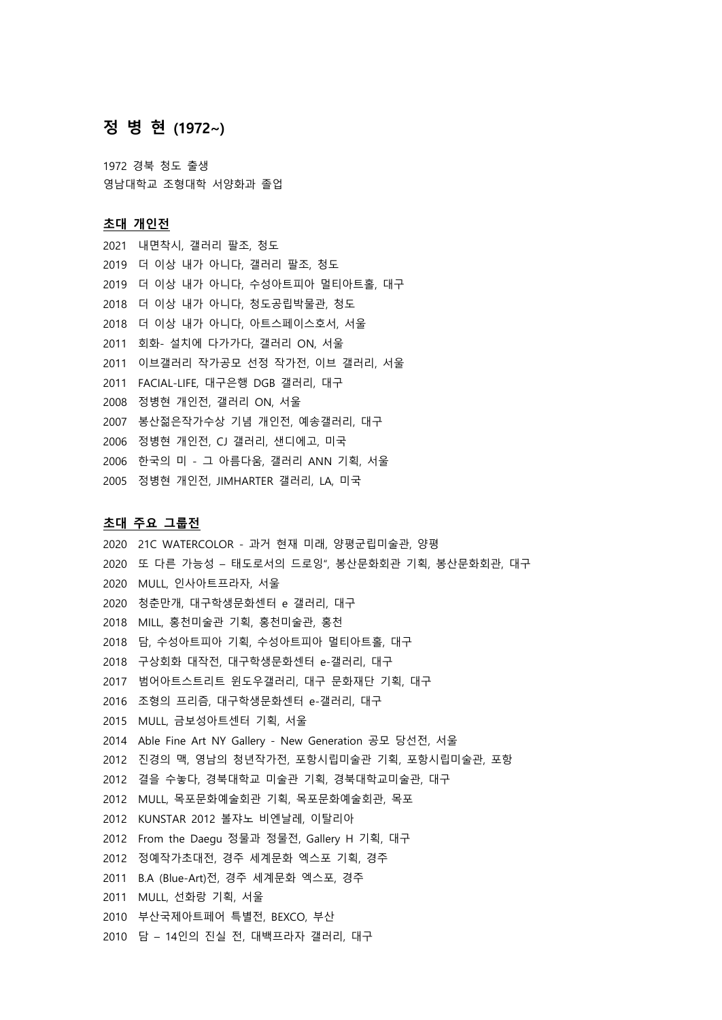# **정 병 현 (1972~)**

1972 경북 청도 출생 영남대학교 조형대학 서양화과 졸업

#### **초대 개인전**

2021 내면착시, 갤러리 팔조, 청도 2019 더 이상 내가 아니다, 갤러리 팔조, 청도 2019 더 이상 내가 아니다, 수성아트피아 멀티아트홀, 대구 2018 더 이상 내가 아니다, 청도공립박물관, 청도 2018 더 이상 내가 아니다, 아트스페이스호서, 서울 2011 회화- 설치에 다가가다, 갤러리 ON, 서울 2011 이브갤러리 작가공모 선정 작가전, 이브 갤러리, 서울 2011 FACIAL-LIFE, 대구은행 DGB 갤러리, 대구 2008 정병현 개인전, 갤러리 ON, 서울 2007 봉산젊은작가수상 기념 개인전, 예송갤러리, 대구 2006 정병현 개인전, CJ 갤러리, 샌디에고, 미국 2006 한국의 미 - 그 아름다움, 갤러리 ANN 기획, 서울 2005 정병현 개인전, JIMHARTER 갤러리, LA, 미국

### **초대 주요 그룹전**

2020 21C WATERCOLOR - 과거 현재 미래, 양평군립미술관, 양평 2020 또 다른 가능성 – 태도로서의 드로잉", 봉산문화회관 기획, 봉산문화회관, 대구 2020 MULL, 인사아트프라자, 서울 2020 청춘만개, 대구학생문화센터 e 갤러리, 대구 2018 MILL, 홍천미술관 기획, 홍천미술관, 홍천 2018 담, 수성아트피아 기획, 수성아트피아 멀티아트홀, 대구 2018 구상회화 대작전, 대구학생문화센터 e-갤러리, 대구 2017 범어아트스트리트 윈도우갤러리, 대구 문화재단 기획, 대구 2016 조형의 프리즘, 대구학생문화센터 e-갤러리, 대구 2015 MULL, 금보성아트센터 기획, 서울 2014 Able Fine Art NY Gallery - New Generation 공모 당선전, 서울 2012 진경의 맥, 영남의 청년작가전, 포항시립미술관 기획, 포항시립미술관, 포항 2012 결을 수놓다, 경북대학교 미술관 기획, 경북대학교미술관, 대구 2012 MULL, 목포문화예술회관 기획, 목포문화예술회관, 목포 2012 KUNSTAR 2012 볼쟈노 비엔날레, 이탈리아 2012 From the Daegu 정물과 정물전, Gallery H 기획, 대구 2012 정예작가초대전, 경주 세계문화 엑스포 기획, 경주 2011 B.A (Blue-Art)전, 경주 세계문화 엑스포, 경주 2011 MULL, 선화랑 기획, 서울 2010 부산국제아트페어 특별전, BEXCO, 부산 2010 담 – 14인의 진실 전, 대백프라자 갤러리, 대구